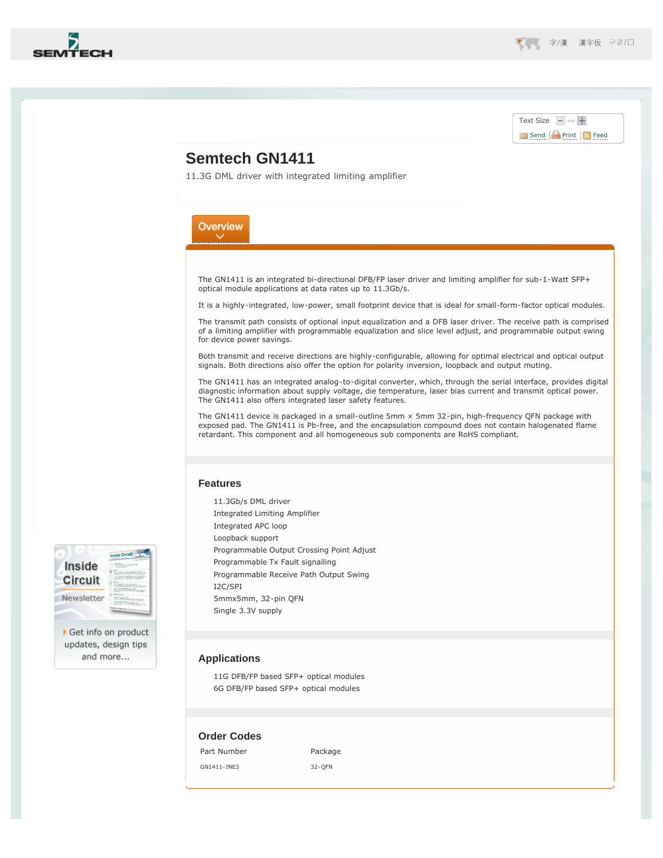<span id="page-0-0"></span>

Inside Circuit Newsletter

Get info on product updates, design tips and more...

## Text Size  $+$ [Send](#page-0-0) **Print S** [Feed](http://www.semtech.com/apps/rss/)

# **Semtech GN1411**

11.3G DML driver with integrated limiting amplifier

# Overview

The GN1411 is an integrated bi-directional DFB/FP laser driver and limiting amplifier for sub-1-Watt SFP+ optical module applications at data rates up to 11.3Gb/s.

It is a highly-integrated, low-power, small footprint device that is ideal for small-form-factor optical modules.

The transmit path consists of optional input equalization and a DFB laser driver. The receive path is comprised of a limiting amplifier with programmable equalization and slice level adjust, and programmable output swing for device power savings.

Both transmit and receive directions are highly-configurable, allowing for optimal electrical and optical output signals. Both directions also offer the option for polarity inversion, loopback and output muting.

The GN1411 has an integrated analog-to-digital converter, which, through the serial interface, provides digital diagnostic information about supply voltage, die temperature, laser bias current and transmit optical power. The GN1411 also offers integrated laser safety features.

The GN1411 device is packaged in a small-outline 5mm × 5mm 32-pin, high-frequency QFN package with exposed pad. The GN1411 is Pb-free, and the encapsulation compound does not contain halogenated flame retardant. This component and all homogeneous sub components are RoHS compliant.

#### **Features**

11.3Gb/s DML driver Integrated Limiting Amplifier Integrated APC loop Loopback support Programmable Output Crossing Point Adjust Programmable Tx Fault signalling Programmable Receive Path Output Swing I2C/SPI 5mmx5mm, 32-pin QFN Single 3.3V supply

### **Applications**

11G DFB/FP based SFP+ optical modules 6G DFB/FP based SFP+ optical modules

### **Order Codes**

Part Number Package

GN1411-INE3 32-QFN